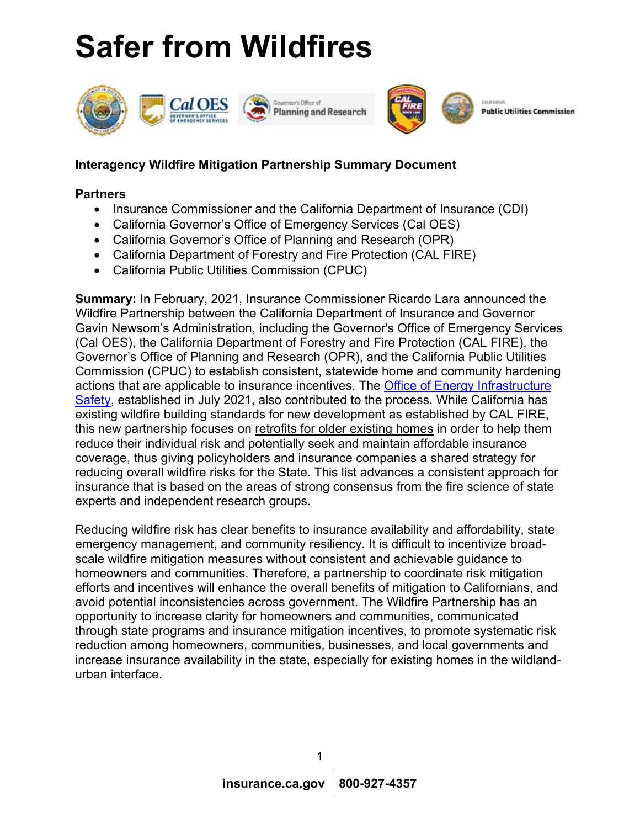# **Safer from Wildfires**





**Public Utilities Commission** 

## **Interagency Wildfire Mitigation Partnership Summary Document**

## **Partners**

- Insurance Commissioner and the California Department of Insurance (CDI)
- California Governor's Office of Emergency Services (Cal OES)
- California Governor's Office of Planning and Research (OPR)
- California Department of Forestry and Fire Protection (CAL FIRE)
- California Public Utilities Commission (CPUC)

**Summary:** In February, 2021, Insurance Commissioner Ricardo Lara announced the Wildfire Partnership between the California Department of Insurance and Governor Gavin Newsom's Administration, including the Governor's Office of Emergency Services (Cal OES), the California Department of Forestry and Fire Protection (CAL FIRE), the Governor's Office of Planning and Research (OPR), and the California Public Utilities Commission (CPUC) to establish consistent, statewide home and community hardening actions that are applicable to insurance incentives. The [Office of Energy Infrastructure](https://energysafety.ca.gov/)  [Safety,](https://energysafety.ca.gov/) established in July 2021, also contributed to the process. While California has existing wildfire building standards for new development as established by CAL FIRE, this new partnership focuses on retrofits for older existing homes in order to help them reduce their individual risk and potentially seek and maintain affordable insurance coverage, thus giving policyholders and insurance companies a shared strategy for reducing overall wildfire risks for the State. This list advances a consistent approach for insurance that is based on the areas of strong consensus from the fire science of state experts and independent research groups.

Reducing wildfire risk has clear benefits to insurance availability and affordability, state emergency management, and community resiliency. It is difficult to incentivize broadscale wildfire mitigation measures without consistent and achievable guidance to homeowners and communities. Therefore, a partnership to coordinate risk mitigation efforts and incentives will enhance the overall benefits of mitigation to Californians, and avoid potential inconsistencies across government. The Wildfire Partnership has an opportunity to increase clarity for homeowners and communities, communicated through state programs and insurance mitigation incentives, to promote systematic risk reduction among homeowners, communities, businesses, and local governments and increase insurance availability in the state, especially for existing homes in the wildlandurban interface.

1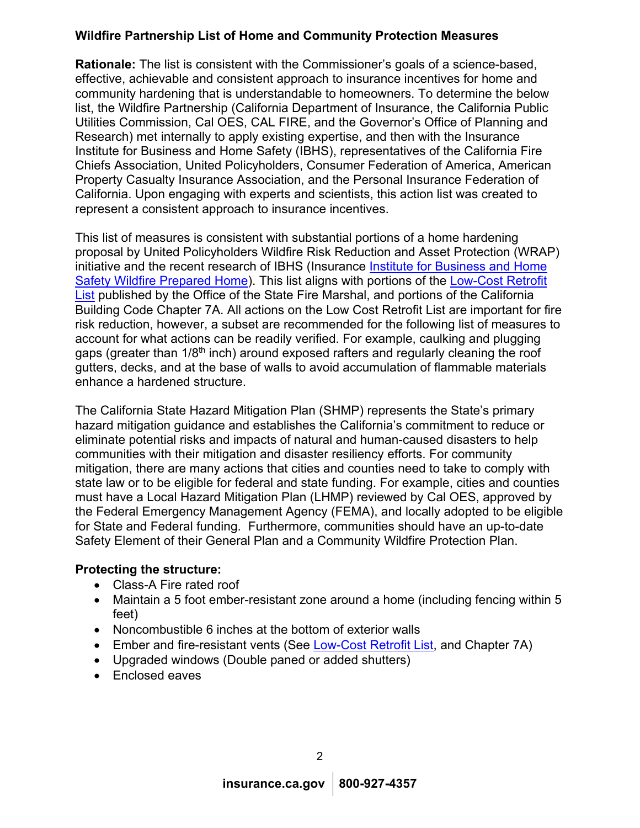## **Wildfire Partnership List of Home and Community Protection Measures**

**Rationale:** The list is consistent with the Commissioner's goals of a science-based, effective, achievable and consistent approach to insurance incentives for home and community hardening that is understandable to homeowners. To determine the below list, the Wildfire Partnership (California Department of Insurance, the California Public Utilities Commission, Cal OES, CAL FIRE, and the Governor's Office of Planning and Research) met internally to apply existing expertise, and then with the Insurance Institute for Business and Home Safety (IBHS), representatives of the California Fire Chiefs Association, United Policyholders, Consumer Federation of America, American Property Casualty Insurance Association, and the Personal Insurance Federation of California. Upon engaging with experts and scientists, this action list was created to represent a consistent approach to insurance incentives.

This list of measures is consistent with substantial portions of a home hardening proposal by United Policyholders Wildfire Risk Reduction and Asset Protection (WRAP) initiative and the recent research of IBHS (Insurance [Institute for Business and Home](https://ibhs.org/wildfire-prepared-home/)  [Safety Wildfire Prepared Home\)](https://ibhs.org/wildfire-prepared-home/). This list aligns with portions of the [Low-Cost Retrofit](https://osfm.fire.ca.gov/media/10748/low-cost-retrofit-list-final.pdf)  [List](https://osfm.fire.ca.gov/media/10748/low-cost-retrofit-list-final.pdf) published by the Office of the State Fire Marshal, and portions of the California Building Code Chapter 7A. All actions on the Low Cost Retrofit List are important for fire risk reduction, however, a subset are recommended for the following list of measures to account for what actions can be readily verified. For example, caulking and plugging gaps (greater than 1/8<sup>th</sup> inch) around exposed rafters and regularly cleaning the roof gutters, decks, and at the base of walls to avoid accumulation of flammable materials enhance a hardened structure.

The California State Hazard Mitigation Plan (SHMP) represents the State's primary hazard mitigation guidance and establishes the California's commitment to reduce or eliminate potential risks and impacts of natural and human-caused disasters to help communities with their mitigation and disaster resiliency efforts. For community mitigation, there are many actions that cities and counties need to take to comply with state law or to be eligible for federal and state funding. For example, cities and counties must have a Local Hazard Mitigation Plan (LHMP) reviewed by Cal OES, approved by the Federal Emergency Management Agency (FEMA), and locally adopted to be eligible for State and Federal funding. Furthermore, communities should have an up-to-date Safety Element of their General Plan and a Community Wildfire Protection Plan.

## **Protecting the structure:**

- Class-A Fire rated roof
- Maintain a 5 foot ember-resistant zone around a home (including fencing within 5 feet)
- Noncombustible 6 inches at the bottom of exterior walls
- Ember and fire-resistant vents (See [Low-Cost Retrofit List,](https://www.readyforwildfire.org/wp-content/uploads/Low-cost-Retrofit-List-Update-5-14-21.pdf) and Chapter 7A)
- Upgraded windows (Double paned or added shutters)
- Enclosed eaves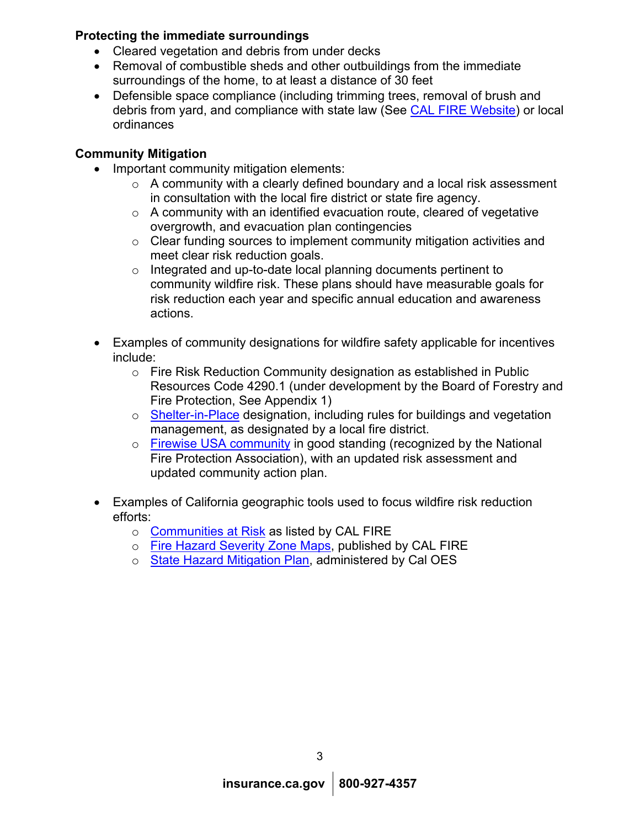## **Protecting the immediate surroundings**

- Cleared vegetation and debris from under decks
- Removal of combustible sheds and other outbuildings from the immediate surroundings of the home, to at least a distance of 30 feet
- Defensible space compliance (including trimming trees, removal of brush and debris from yard, and compliance with state law (See [CAL FIRE Website\)](https://www.fire.ca.gov/programs/communications/defensible-space-prc-4291/) or local ordinances

## **Community Mitigation**

- Important community mitigation elements:
	- $\circ$  A community with a clearly defined boundary and a local risk assessment in consultation with the local fire district or state fire agency.
	- $\circ$  A community with an identified evacuation route, cleared of vegetative overgrowth, and evacuation plan contingencies
	- o Clear funding sources to implement community mitigation activities and meet clear risk reduction goals.
	- o Integrated and up-to-date local planning documents pertinent to community wildfire risk. These plans should have measurable goals for risk reduction each year and specific annual education and awareness actions.
- Examples of community designations for wildfire safety applicable for incentives include:
	- o Fire Risk Reduction Community designation as established in Public Resources Code 4290.1 (under development by the Board of Forestry and Fire Protection, See Appendix 1)
	- o [Shelter-in-Place](https://www.rsf-fire.org/shelter-in-place/#:%7E:text=If%20you%20live%20in%20The%20Bridges%2C%20The%20Crosby%2C,chances%20that%20your%20home%20will%20survive%20a%20wildfire.) designation, including rules for buildings and vegetation management, as designated by a local fire district.
	- o Firewise USA [community](https://www.nfpa.org/Public-Education/Fire-causes-and-risks/Wildfire/Firewise-USA/Become-a-Firewise-USA-site) in good standing (recognized by the National Fire Protection Association), with an updated risk assessment and updated community action plan.
- Examples of California geographic tools used to focus wildfire risk reduction efforts:
	- o [Communities at Risk](https://osfm.fire.ca.gov/divisions/community-wildfire-preparedness-and-mitigation/fire-plan/communities-at-risk/) as listed by CAL FIRE
	- o [Fire Hazard Severity Zone Maps,](https://egis.fire.ca.gov/FHSZ/) published by CAL FIRE
	- o [State Hazard Mitigation Plan,](https://www.caloes.ca.gov/cal-oes-divisions/hazard-mitigation/hazard-mitigation-planning/state-hazard-mitigation-plan) administered by Cal OES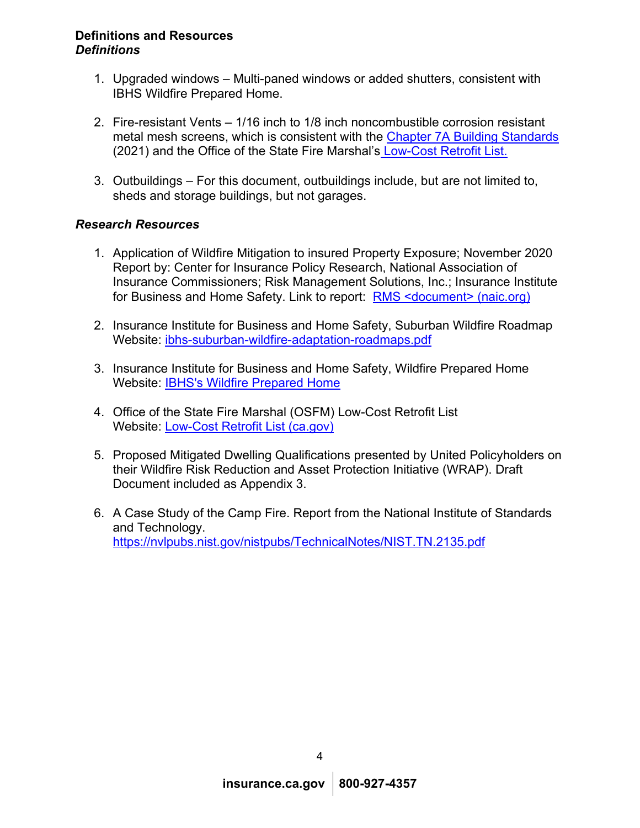#### **Definitions and Resources**  *Definitions*

- 1. Upgraded windows Multi-paned windows or added shutters, consistent with IBHS Wildfire Prepared Home.
- 2. Fire-resistant Vents 1/16 inch to 1/8 inch noncombustible corrosion resistant metal mesh screens, which is consistent with the [Chapter 7A Building Standards](https://codes.iccsafe.org/content/CABCV12019JUL21S/chapter-7a-materials-and-construction-methods-for-exterior-wildfire-exposure) (2021) and the Office of the State Fire Marshal's [Low-Cost Retrofit List.](https://osfm.fire.ca.gov/media/10748/low-cost-retrofit-list-final.pdf)
- 3. Outbuildings For this document, outbuildings include, but are not limited to, sheds and storage buildings, but not garages.

## *Research Resources*

- 1. Application of Wildfire Mitigation to insured Property Exposure; November 2020 Report by: Center for Insurance Policy Research, National Association of Insurance Commissioners; Risk Management Solutions, Inc.; Insurance Institute for Business and Home Safety. Link to report: [RMS <document> \(naic.org\)](https://content.naic.org/sites/default/files/cipr_report_wildfire_mitigation.pdf)
- 2. Insurance Institute for Business and Home Safety, Suburban Wildfire Roadmap Website: [ibhs-suburban-wildfire-adaptation-roadmaps.pdf](https://ibhs.org/wp-content/uploads/wpmembers/files/ibhs-suburban-wildfire-adaptation-roadmaps.pdf)
- 3. Insurance Institute for Business and Home Safety, Wildfire Prepared Home Website: [IBHS's Wildfire Prepared Home](https://ibhs.org/wildfire-prepared-home/)
- 4. Office of the State Fire Marshal (OSFM) Low-Cost Retrofit List Website: [Low-Cost Retrofit List \(ca.gov\)](https://www.readyforwildfire.org/wp-content/uploads/Low-cost-Retrofit-List-Update-5-14-21.pdf)
- 5. Proposed Mitigated Dwelling Qualifications presented by United Policyholders on their Wildfire Risk Reduction and Asset Protection Initiative (WRAP). Draft Document included as Appendix 3.
- 6. A Case Study of the Camp Fire. Report from the National Institute of Standards and Technology. <https://nvlpubs.nist.gov/nistpubs/TechnicalNotes/NIST.TN.2135.pdf>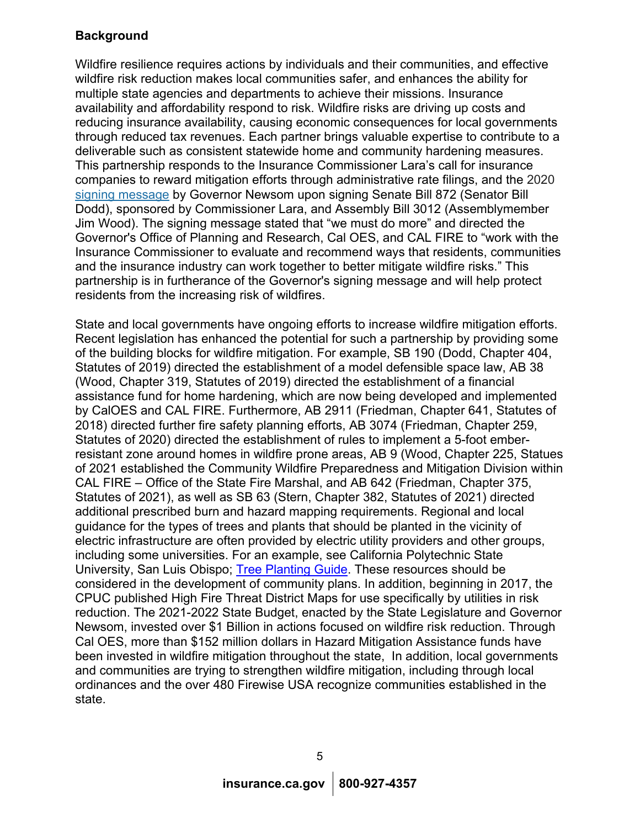## **Background**

Wildfire resilience requires actions by individuals and their communities, and effective wildfire risk reduction makes local communities safer, and enhances the ability for multiple state agencies and departments to achieve their missions. Insurance availability and affordability respond to risk. Wildfire risks are driving up costs and reducing insurance availability, causing economic consequences for local governments through reduced tax revenues. Each partner brings valuable expertise to contribute to a deliverable such as consistent statewide home and community hardening measures. This partnership responds to the Insurance Commissioner Lara's call for insurance companies to reward mitigation efforts through administrative rate filings, and the 2020 [signing message](https://www.gov.ca.gov/wp-content/uploads/2020/09/SB-872-and-AB-3012.pdf) by Governor Newsom upon signing Senate Bill 872 (Senator Bill Dodd), sponsored by Commissioner Lara, and Assembly Bill 3012 (Assemblymember Jim Wood). The signing message stated that "we must do more" and directed the Governor's Office of Planning and Research, Cal OES, and CAL FIRE to "work with the Insurance Commissioner to evaluate and recommend ways that residents, communities and the insurance industry can work together to better mitigate wildfire risks." This partnership is in furtherance of the Governor's signing message and will help protect residents from the increasing risk of wildfires.

State and local governments have ongoing efforts to increase wildfire mitigation efforts. Recent legislation has enhanced the potential for such a partnership by providing some of the building blocks for wildfire mitigation. For example, SB 190 (Dodd, Chapter 404, Statutes of 2019) directed the establishment of a model defensible space law, AB 38 (Wood, Chapter 319, Statutes of 2019) directed the establishment of a financial assistance fund for home hardening, which are now being developed and implemented by CalOES and CAL FIRE. Furthermore, AB 2911 (Friedman, Chapter 641, Statutes of 2018) directed further fire safety planning efforts, AB 3074 (Friedman, Chapter 259, Statutes of 2020) directed the establishment of rules to implement a 5-foot emberresistant zone around homes in wildfire prone areas, AB 9 (Wood, Chapter 225, Statues of 2021 established the Community Wildfire Preparedness and Mitigation Division within CAL FIRE – Office of the State Fire Marshal, and AB 642 (Friedman, Chapter 375, Statutes of 2021), as well as SB 63 (Stern, Chapter 382, Statutes of 2021) directed additional prescribed burn and hazard mapping requirements. Regional and local guidance for the types of trees and plants that should be planted in the vicinity of electric infrastructure are often provided by electric utility providers and other groups, including some universities. For an example, see California Polytechnic State University, San Luis Obispo; [Tree Planting Guide.](https://selectree.calpoly.edu/) These resources should be considered in the development of community plans. In addition, beginning in 2017, the CPUC published High Fire Threat District Maps for use specifically by utilities in risk reduction. The 2021-2022 State Budget, enacted by the State Legislature and Governor Newsom, invested over \$1 Billion in actions focused on wildfire risk reduction. Through Cal OES, more than \$152 million dollars in Hazard Mitigation Assistance funds have been invested in wildfire mitigation throughout the state, In addition, local governments and communities are trying to strengthen wildfire mitigation, including through local ordinances and the over 480 Firewise USA recognize communities established in the state.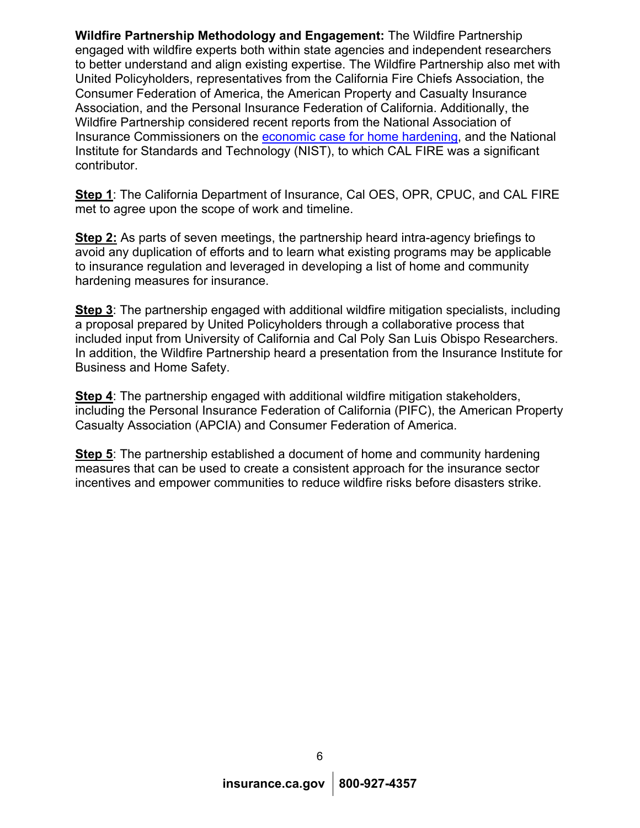**Wildfire Partnership Methodology and Engagement:** The Wildfire Partnership engaged with wildfire experts both within state agencies and independent researchers to better understand and align existing expertise. The Wildfire Partnership also met with United Policyholders, representatives from the California Fire Chiefs Association, the Consumer Federation of America, the American Property and Casualty Insurance Association, and the Personal Insurance Federation of California. Additionally, the Wildfire Partnership considered recent reports from the National Association of Insurance Commissioners on the [economic case for home hardening,](https://content.naic.org/sites/default/files/cipr_report_wildfire_mitigation.pdf) and the National Institute for Standards and Technology (NIST), to which CAL FIRE was a significant contributor.

**Step 1**: The California Department of Insurance, Cal OES, OPR, CPUC, and CAL FIRE met to agree upon the scope of work and timeline.

**Step 2:** As parts of seven meetings, the partnership heard intra-agency briefings to avoid any duplication of efforts and to learn what existing programs may be applicable to insurance regulation and leveraged in developing a list of home and community hardening measures for insurance.

**Step 3**: The partnership engaged with additional wildfire mitigation specialists, including a proposal prepared by United Policyholders through a collaborative process that included input from University of California and Cal Poly San Luis Obispo Researchers. In addition, the Wildfire Partnership heard a presentation from the Insurance Institute for Business and Home Safety.

**Step 4:** The partnership engaged with additional wildfire mitigation stakeholders, including the Personal Insurance Federation of California (PIFC), the American Property Casualty Association (APCIA) and Consumer Federation of America.

**Step 5**: The partnership established a document of home and community hardening measures that can be used to create a consistent approach for the insurance sector incentives and empower communities to reduce wildfire risks before disasters strike.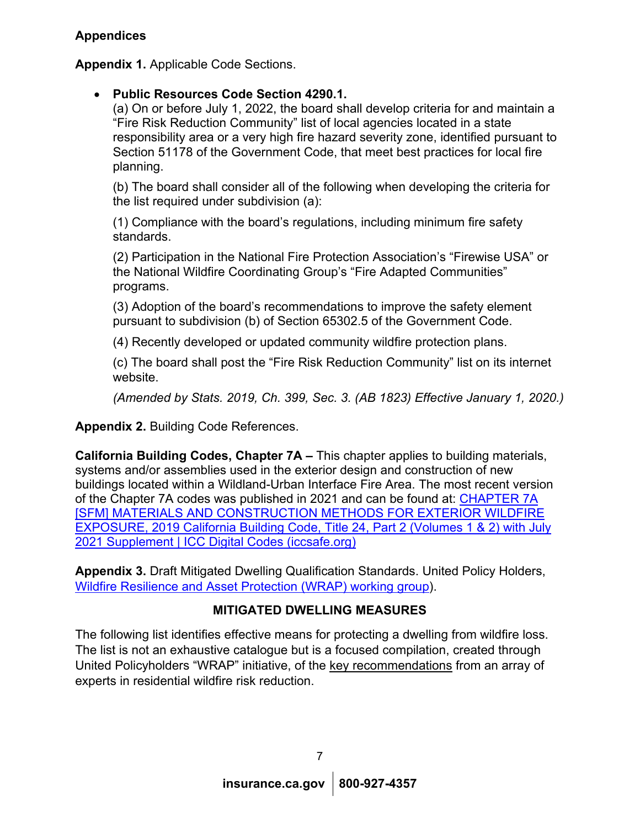**Appendix 1.** Applicable Code Sections.

## • **Public Resources Code Section 4290.1.**

(a) On or before July 1, 2022, the board shall develop criteria for and maintain a "Fire Risk Reduction Community" list of local agencies located in a state responsibility area or a very high fire hazard severity zone, identified pursuant to Section 51178 of the Government Code, that meet best practices for local fire planning.

(b) The board shall consider all of the following when developing the criteria for the list required under subdivision (a):

(1) Compliance with the board's regulations, including minimum fire safety standards.

(2) Participation in the National Fire Protection Association's "Firewise USA" or the National Wildfire Coordinating Group's "Fire Adapted Communities" programs.

(3) Adoption of the board's recommendations to improve the safety element pursuant to subdivision (b) of Section 65302.5 of the Government Code.

(4) Recently developed or updated community wildfire protection plans.

(c) The board shall post the "Fire Risk Reduction Community" list on its internet website.

*(Amended by Stats. 2019, Ch. 399, Sec. 3. (AB 1823) Effective January 1, 2020.)*

**Appendix 2.** Building Code References.

**California Building Codes, Chapter 7A –** This chapter applies to building materials, systems and/or assemblies used in the exterior design and construction of new buildings located within a Wildland-Urban Interface Fire Area. The most recent version of the Chapter 7A codes was published in 2021 and can be found at: [CHAPTER 7A](https://codes.iccsafe.org/content/CBC2019P4/chapter-7a-sfm-materials-and-construction-methods-for-exterior-wildfire-exposure)  [SFM] [MATERIALS AND CONSTRUCTION METHODS FOR EXTERIOR WILDFIRE](https://codes.iccsafe.org/content/CBC2019P4/chapter-7a-sfm-materials-and-construction-methods-for-exterior-wildfire-exposure)  [EXPOSURE, 2019 California Building Code, Title 24, Part 2 \(Volumes 1 & 2\) with July](https://codes.iccsafe.org/content/CBC2019P4/chapter-7a-sfm-materials-and-construction-methods-for-exterior-wildfire-exposure)  [2021 Supplement | ICC Digital Codes \(iccsafe.org\)](https://codes.iccsafe.org/content/CBC2019P4/chapter-7a-sfm-materials-and-construction-methods-for-exterior-wildfire-exposure)

**Appendix 3.** Draft Mitigated Dwelling Qualification Standards. United Policy Holders, [Wildfire Resilience and Asset Protection \(WRAP\)](https://uphelp.org/advocacy/wrap-initiative/) working group).

# **MITIGATED DWELLING MEASURES**

The following list identifies effective means for protecting a dwelling from wildfire loss. The list is not an exhaustive catalogue but is a focused compilation, created through United Policyholders "WRAP" initiative, of the key recommendations from an array of experts in residential wildfire risk reduction.

7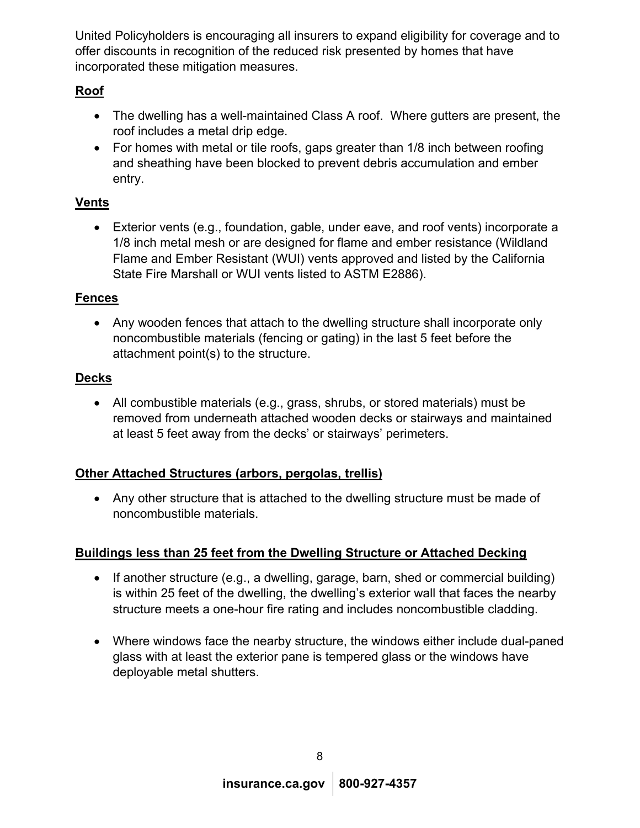United Policyholders is encouraging all insurers to expand eligibility for coverage and to offer discounts in recognition of the reduced risk presented by homes that have incorporated these mitigation measures.

# **Roof**

- The dwelling has a well-maintained Class A roof. Where gutters are present, the roof includes a metal drip edge.
- For homes with metal or tile roofs, gaps greater than 1/8 inch between roofing and sheathing have been blocked to prevent debris accumulation and ember entry.

# **Vents**

• Exterior vents (e.g., foundation, gable, under eave, and roof vents) incorporate a 1/8 inch metal mesh or are designed for flame and ember resistance (Wildland Flame and Ember Resistant (WUI) vents approved and listed by the California State Fire Marshall or WUI vents listed to ASTM E2886).

# **Fences**

• Any wooden fences that attach to the dwelling structure shall incorporate only noncombustible materials (fencing or gating) in the last 5 feet before the attachment point(s) to the structure.

# **Decks**

• All combustible materials (e.g., grass, shrubs, or stored materials) must be removed from underneath attached wooden decks or stairways and maintained at least 5 feet away from the decks' or stairways' perimeters.

# **Other Attached Structures (arbors, pergolas, trellis)**

• Any other structure that is attached to the dwelling structure must be made of noncombustible materials.

## **Buildings less than 25 feet from the Dwelling Structure or Attached Decking**

- If another structure (e.g., a dwelling, garage, barn, shed or commercial building) is within 25 feet of the dwelling, the dwelling's exterior wall that faces the nearby structure meets a one-hour fire rating and includes noncombustible cladding.
- Where windows face the nearby structure, the windows either include dual-paned glass with at least the exterior pane is tempered glass or the windows have deployable metal shutters.

8